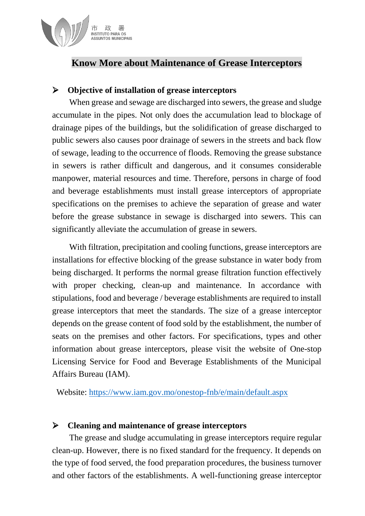

## **Know More about Maintenance of Grease Interceptors**

#### **Objective of installation of grease interceptors**

When grease and sewage are discharged into sewers, the grease and sludge accumulate in the pipes. Not only does the accumulation lead to blockage of drainage pipes of the buildings, but the solidification of grease discharged to public sewers also causes poor drainage of sewers in the streets and back flow of sewage, leading to the occurrence of floods. Removing the grease substance in sewers is rather difficult and dangerous, and it consumes considerable manpower, material resources and time. Therefore, persons in charge of food and beverage establishments must install grease interceptors of appropriate specifications on the premises to achieve the separation of grease and water before the grease substance in sewage is discharged into sewers. This can significantly alleviate the accumulation of grease in sewers.

With filtration, precipitation and cooling functions, grease interceptors are installations for effective blocking of the grease substance in water body from being discharged. It performs the normal grease filtration function effectively with proper checking, clean-up and maintenance. In accordance with stipulations, food and beverage / beverage establishments are required to install grease interceptors that meet the standards. The size of a grease interceptor depends on the grease content of food sold by the establishment, the number of seats on the premises and other factors. For specifications, types and other information about grease interceptors, please visit the website of One-stop Licensing Service for Food and Beverage Establishments of the Municipal Affairs Bureau (IAM).

Website: <https://www.iam.gov.mo/onestop-fnb/e/main/default.aspx>

#### **Cleaning and maintenance of grease interceptors**

The grease and sludge accumulating in grease interceptors require regular clean-up. However, there is no fixed standard for the frequency. It depends on the type of food served, the food preparation procedures, the business turnover and other factors of the establishments. A well-functioning grease interceptor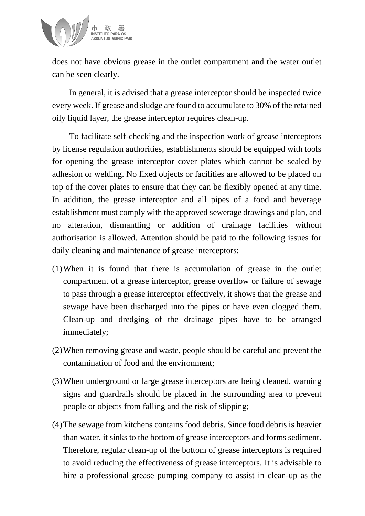

does not have obvious grease in the outlet compartment and the water outlet can be seen clearly.

In general, it is advised that a grease interceptor should be inspected twice every week. If grease and sludge are found to accumulate to 30% of the retained oily liquid layer, the grease interceptor requires clean-up.

To facilitate self-checking and the inspection work of grease interceptors by license regulation authorities, establishments should be equipped with tools for opening the grease interceptor cover plates which cannot be sealed by adhesion or welding. No fixed objects or facilities are allowed to be placed on top of the cover plates to ensure that they can be flexibly opened at any time. In addition, the grease interceptor and all pipes of a food and beverage establishment must comply with the approved sewerage drawings and plan, and no alteration, dismantling or addition of drainage facilities without authorisation is allowed. Attention should be paid to the following issues for daily cleaning and maintenance of grease interceptors:

- (1)When it is found that there is accumulation of grease in the outlet compartment of a grease interceptor, grease overflow or failure of sewage to pass through a grease interceptor effectively, it shows that the grease and sewage have been discharged into the pipes or have even clogged them. Clean-up and dredging of the drainage pipes have to be arranged immediately;
- (2)When removing grease and waste, people should be careful and prevent the contamination of food and the environment;
- (3)When underground or large grease interceptors are being cleaned, warning signs and guardrails should be placed in the surrounding area to prevent people or objects from falling and the risk of slipping;
- (4)The sewage from kitchens contains food debris. Since food debris is heavier than water, it sinks to the bottom of grease interceptors and forms sediment. Therefore, regular clean-up of the bottom of grease interceptors is required to avoid reducing the effectiveness of grease interceptors. It is advisable to hire a professional grease pumping company to assist in clean-up as the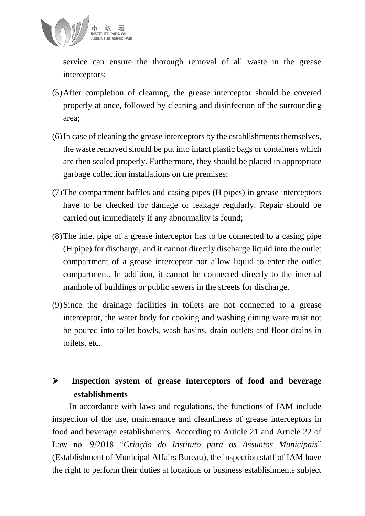

service can ensure the thorough removal of all waste in the grease interceptors;

- (5)After completion of cleaning, the grease interceptor should be covered properly at once, followed by cleaning and disinfection of the surrounding area;
- (6)In case of cleaning the grease interceptors by the establishments themselves, the waste removed should be put into intact plastic bags or containers which are then sealed properly. Furthermore, they should be placed in appropriate garbage collection installations on the premises;
- (7)The compartment baffles and casing pipes (H pipes) in grease interceptors have to be checked for damage or leakage regularly. Repair should be carried out immediately if any abnormality is found;
- (8)The inlet pipe of a grease interceptor has to be connected to a casing pipe (H pipe) for discharge, and it cannot directly discharge liquid into the outlet compartment of a grease interceptor nor allow liquid to enter the outlet compartment. In addition, it cannot be connected directly to the internal manhole of buildings or public sewers in the streets for discharge.
- (9)Since the drainage facilities in toilets are not connected to a grease interceptor, the water body for cooking and washing dining ware must not be poured into toilet bowls, wash basins, drain outlets and floor drains in toilets, etc.

# **Inspection system of grease interceptors of food and beverage establishments**

In accordance with laws and regulations, the functions of IAM include inspection of the use, maintenance and cleanliness of grease interceptors in food and beverage establishments. According to Article 21 and Article 22 of Law no. 9/2018 "*Criação do Instituto para os Assuntos Municipais*" (Establishment of Municipal Affairs Bureau), the inspection staff of IAM have the right to perform their duties at locations or business establishments subject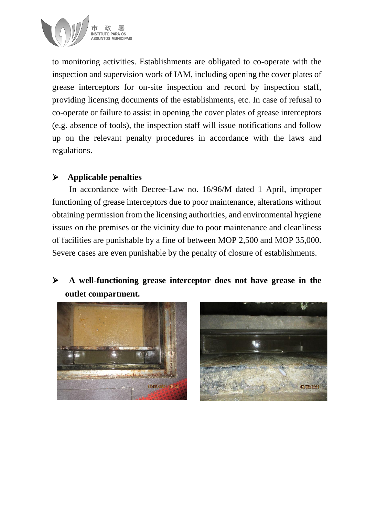

to monitoring activities. Establishments are obligated to co-operate with the inspection and supervision work of IAM, including opening the cover plates of grease interceptors for on-site inspection and record by inspection staff, providing licensing documents of the establishments, etc. In case of refusal to co-operate or failure to assist in opening the cover plates of grease interceptors (e.g. absence of tools), the inspection staff will issue notifications and follow up on the relevant penalty procedures in accordance with the laws and regulations.

### **Applicable penalties**

In accordance with Decree-Law no. 16/96/M dated 1 April, improper functioning of grease interceptors due to poor maintenance, alterations without obtaining permission from the licensing authorities, and environmental hygiene issues on the premises or the vicinity due to poor maintenance and cleanliness of facilities are punishable by a fine of between MOP 2,500 and MOP 35,000. Severe cases are even punishable by the penalty of closure of establishments.

# **A well-functioning grease interceptor does not have grease in the outlet compartment.**



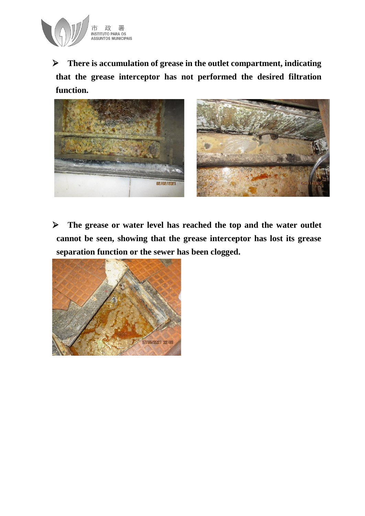

 **There is accumulation of grease in the outlet compartment, indicating that the grease interceptor has not performed the desired filtration function.** 



 **The grease or water level has reached the top and the water outlet cannot be seen, showing that the grease interceptor has lost its grease separation function or the sewer has been clogged.** 

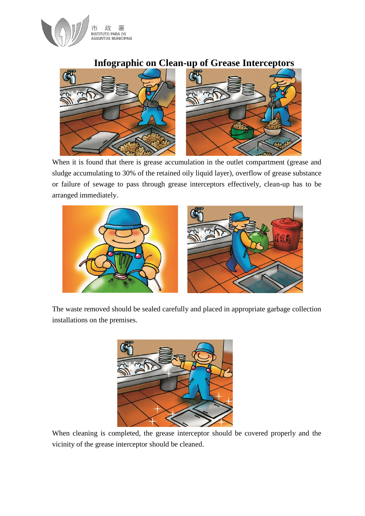

### **Infographic on Clean-up of Grease Interceptors**



When it is found that there is grease accumulation in the outlet compartment (grease and sludge accumulating to 30% of the retained oily liquid layer), overflow of grease substance or failure of sewage to pass through grease interceptors effectively, clean-up has to be arranged immediately.



The waste removed should be sealed carefully and placed in appropriate garbage collection installations on the premises.



When cleaning is completed, the grease interceptor should be covered properly and the vicinity of the grease interceptor should be cleaned.